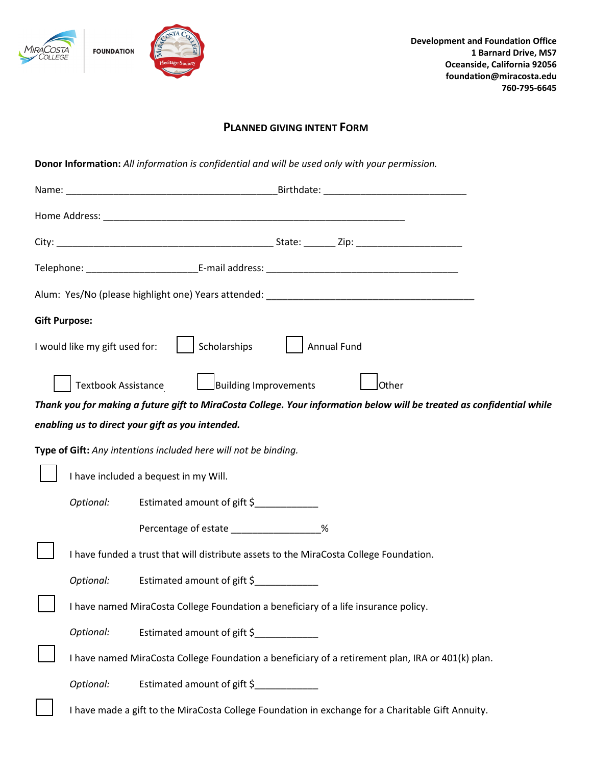

## **PLANNED GIVING INTENT FORM**

**Donor Information:** *All information is confidential and will be used only with your permission.*

| <b>Gift Purpose:</b>                                                                                                  |                                |                                                                                                   |
|-----------------------------------------------------------------------------------------------------------------------|--------------------------------|---------------------------------------------------------------------------------------------------|
|                                                                                                                       | I would like my gift used for: | Scholarships<br>Annual Fund                                                                       |
|                                                                                                                       | <b>Textbook Assistance</b>     | <b>Building Improvements</b><br>lOther                                                            |
| Thank you for making a future gift to MiraCosta College. Your information below will be treated as confidential while |                                |                                                                                                   |
| enabling us to direct your gift as you intended.                                                                      |                                |                                                                                                   |
| Type of Gift: Any intentions included here will not be binding.                                                       |                                |                                                                                                   |
|                                                                                                                       |                                | I have included a bequest in my Will.                                                             |
|                                                                                                                       | Optional:                      | Estimated amount of gift \$                                                                       |
|                                                                                                                       |                                | Percentage of estate ___________________%                                                         |
|                                                                                                                       |                                | I have funded a trust that will distribute assets to the MiraCosta College Foundation.            |
|                                                                                                                       | Optional:                      | Estimated amount of gift \$                                                                       |
|                                                                                                                       |                                | I have named MiraCosta College Foundation a beneficiary of a life insurance policy.               |
|                                                                                                                       | Optional:                      | Estimated amount of gift \$                                                                       |
|                                                                                                                       |                                | I have named MiraCosta College Foundation a beneficiary of a retirement plan, IRA or 401(k) plan. |
|                                                                                                                       | Optional:                      | Estimated amount of gift \$                                                                       |
|                                                                                                                       |                                | I have made a gift to the MiraCosta College Foundation in exchange for a Charitable Gift Annuity. |